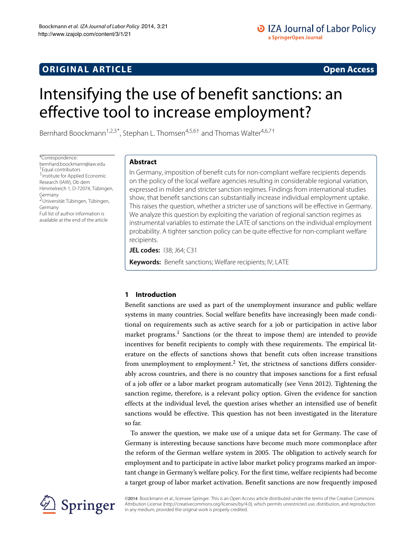# **ORIGINAL ARTICLE Open Access**

# Intensifying the use of benefit sanctions: an effective tool to increase employment?

Bernhard Boockmann<sup>1,2,3\*</sup>, Stephan L. Thomsen<sup>4,5,6†</sup> and Thomas Walter<sup>4,6,7†</sup>

\*Correspondence: [bernhard.boockmann@iaw.edu](mailto:bernhard.boockmann@iaw.edu) †Equal contributors 1Institute for Applied Economic Research (IAW), Ob dem Himmelreich 1, D-72074, Tübingen, Germany 2Universität Tübingen, Tübingen, Germany Full list of author information is available at the end of the article

# **Abstract**

In Germany, imposition of benefit cuts for non-compliant welfare recipients depends on the policy of the local welfare agencies resulting in considerable regional variation, expressed in milder and stricter sanction regimes. Findings from international studies show, that benefit sanctions can substantially increase individual employment uptake. This raises the question, whether a stricter use of sanctions will be effective in Germany. We analyze this question by exploiting the variation of regional sanction regimes as instrumental variables to estimate the LATE of sanctions on the individual employment probability. A tighter sanction policy can be quite effective for non-compliant welfare recipients.

**JEL codes:** I38; J64; C31

**Keywords:** Benefit sanctions; Welfare recipients; IV; LATE

# **1 Introduction**

Benefit sanctions are used as part of the unemployment insurance and public welfare systems in many countries. Social welfare benefits have increasingly been made conditional on requirements such as active search for a job or participation in active labor market programs.<sup>1</sup> Sanctions (or the threat to impose them) are intended to provide incentives for benefit recipients to comply with these requirements. The empirical literature on the effects of sanctions shows that benefit cuts often increase transitions from unemployment to employment.<sup>2</sup> Yet, the strictness of sanctions differs considerably across countries, and there is no country that imposes sanctions for a first refusal of a job offer or a labor market program automatically (see Venn [2012\)](#page-18-0). Tightening the sanction regime, therefore, is a relevant policy option. Given the evidence for sanction effects at the individual level, the question arises whether an intensified use of benefit sanctions would be effective. This question has not been investigated in the literature so far.

To answer the question, we make use of a unique data set for Germany. The case of Germany is interesting because sanctions have become much more commonplace after the reform of the German welfare system in 2005. The obligation to actively search for employment and to participate in active labor market policy programs marked an important change in Germany's welfare policy. For the first time, welfare recipients had become a target group of labor market activation. Benefit sanctions are now frequently imposed



©2014 Boockmann et al.; licensee Springer. This is an Open Access article distributed under the terms of the Creative Commons Attribution License [\(http://creativecommons.org/licenses/by/4.0\)](http://creativecommons.org/licenses/by/4.0), which permits unrestricted use, distribution, and reproduction in any medium, provided the original work is properly credited.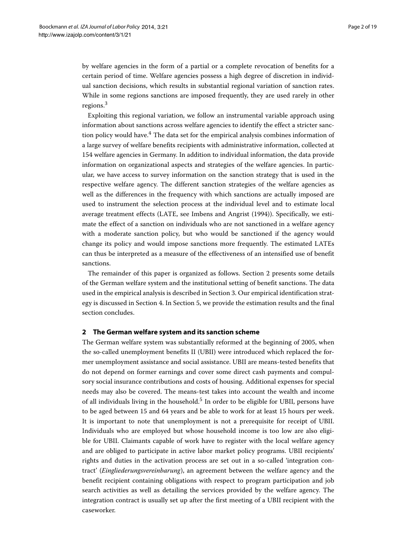by welfare agencies in the form of a partial or a complete revocation of benefits for a certain period of time. Welfare agencies possess a high degree of discretion in individual sanction decisions, which results in substantial regional variation of sanction rates. While in some regions sanctions are imposed frequently, they are used rarely in other regions.3

Exploiting this regional variation, we follow an instrumental variable approach using information about sanctions across welfare agencies to identify the effect a stricter sanction policy would have.4 The data set for the empirical analysis combines information of a large survey of welfare benefits recipients with administrative information, collected at 154 welfare agencies in Germany. In addition to individual information, the data provide information on organizational aspects and strategies of the welfare agencies. In particular, we have access to survey information on the sanction strategy that is used in the respective welfare agency. The different sanction strategies of the welfare agencies as well as the differences in the frequency with which sanctions are actually imposed are used to instrument the selection process at the individual level and to estimate local average treatment effects (LATE, see Imbens and Angrist [\(1994\)](#page-17-0)). Specifically, we estimate the effect of a sanction on individuals who are not sanctioned in a welfare agency with a moderate sanction policy, but who would be sanctioned if the agency would change its policy and would impose sanctions more frequently. The estimated LATEs can thus be interpreted as a measure of the effectiveness of an intensified use of benefit sanctions.

The remainder of this paper is organized as follows. Section [2](#page-1-0) presents some details of the German welfare system and the institutional setting of benefit sanctions. The data used in the empirical analysis is described in Section [3.](#page-2-0) Our empirical identification strategy is discussed in Section [4.](#page-4-0) In Section [5,](#page-9-0) we provide the estimation results and the final section concludes.

# <span id="page-1-0"></span>**2 The German welfare system and its sanction scheme**

The German welfare system was substantially reformed at the beginning of 2005, when the so-called unemployment benefits II (UBII) were introduced which replaced the former unemployment assistance and social assistance. UBII are means-tested benefits that do not depend on former earnings and cover some direct cash payments and compulsory social insurance contributions and costs of housing. Additional expenses for special needs may also be covered. The means-test takes into account the wealth and income of all individuals living in the household.<sup>5</sup> In order to be eligible for UBII, persons have to be aged between 15 and 64 years and be able to work for at least 15 hours per week. It is important to note that unemployment is not a prerequisite for receipt of UBII. Individuals who are employed but whose household income is too low are also eligible for UBII. Claimants capable of work have to register with the local welfare agency and are obliged to participate in active labor market policy programs. UBII recipients' rights and duties in the activation process are set out in a so-called 'integration contract' (*Eingliederungsvereinbarung*), an agreement between the welfare agency and the benefit recipient containing obligations with respect to program participation and job search activities as well as detailing the services provided by the welfare agency. The integration contract is usually set up after the first meeting of a UBII recipient with the caseworker.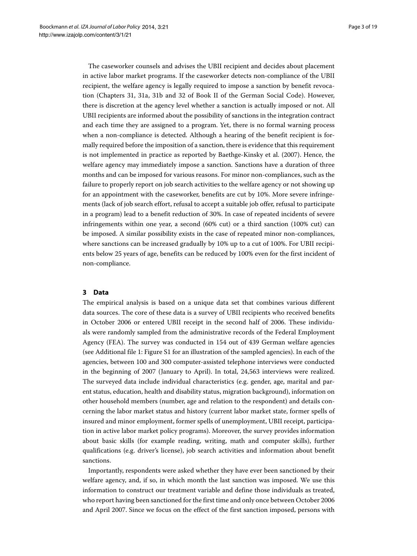The caseworker counsels and advises the UBII recipient and decides about placement in active labor market programs. If the caseworker detects non-compliance of the UBII recipient, the welfare agency is legally required to impose a sanction by benefit revocation (Chapters 31, 31a, 31b and 32 of Book II of the German Social Code). However, there is discretion at the agency level whether a sanction is actually imposed or not. All UBII recipients are informed about the possibility of sanctions in the integration contract and each time they are assigned to a program. Yet, there is no formal warning process when a non-compliance is detected. Although a hearing of the benefit recipient is formally required before the imposition of a sanction, there is evidence that this requirement is not implemented in practice as reported by Baethge-Kinsky et al. [\(2007\)](#page-17-1). Hence, the welfare agency may immediately impose a sanction. Sanctions have a duration of three months and can be imposed for various reasons. For minor non-compliances, such as the failure to properly report on job search activities to the welfare agency or not showing up for an appointment with the caseworker, benefits are cut by 10%. More severe infringements (lack of job search effort, refusal to accept a suitable job offer, refusal to participate in a program) lead to a benefit reduction of 30%. In case of repeated incidents of severe infringements within one year, a second (60% cut) or a third sanction (100% cut) can be imposed. A similar possibility exists in the case of repeated minor non-compliances, where sanctions can be increased gradually by 10% up to a cut of 100%. For UBII recipients below 25 years of age, benefits can be reduced by 100% even for the first incident of non-compliance.

# <span id="page-2-0"></span>**3 Data**

The empirical analysis is based on a unique data set that combines various different data sources. The core of these data is a survey of UBII recipients who received benefits in October 2006 or entered UBII receipt in the second half of 2006. These individuals were randomly sampled from the administrative records of the Federal Employment Agency (FEA). The survey was conducted in 154 out of 439 German welfare agencies (see Additional file [1:](#page-17-2) Figure S1 for an illustration of the sampled agencies). In each of the agencies, between 100 and 300 computer-assisted telephone interviews were conducted in the beginning of 2007 (January to April). In total, 24,563 interviews were realized. The surveyed data include individual characteristics (e.g. gender, age, marital and parent status, education, health and disability status, migration background), information on other household members (number, age and relation to the respondent) and details concerning the labor market status and history (current labor market state, former spells of insured and minor employment, former spells of unemployment, UBII receipt, participation in active labor market policy programs). Moreover, the survey provides information about basic skills (for example reading, writing, math and computer skills), further qualifications (e.g. driver's license), job search activities and information about benefit sanctions.

Importantly, respondents were asked whether they have ever been sanctioned by their welfare agency, and, if so, in which month the last sanction was imposed. We use this information to construct our treatment variable and define those individuals as treated, who report having been sanctioned for the first time and only once between October 2006 and April 2007. Since we focus on the effect of the first sanction imposed, persons with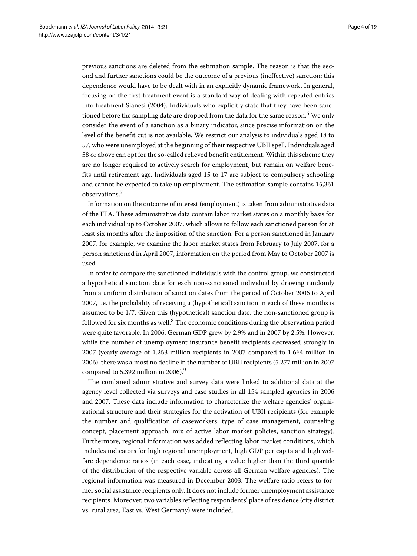previous sanctions are deleted from the estimation sample. The reason is that the second and further sanctions could be the outcome of a previous (ineffective) sanction; this dependence would have to be dealt with in an explicitly dynamic framework. In general, focusing on the first treatment event is a standard way of dealing with repeated entries into treatment Sianesi [\(2004\)](#page-17-3). Individuals who explicitly state that they have been sanctioned before the sampling date are dropped from the data for the same reason.<sup>6</sup> We only consider the event of a sanction as a binary indicator, since precise information on the level of the benefit cut is not available. We restrict our analysis to individuals aged 18 to 57, who were unemployed at the beginning of their respective UBII spell. Individuals aged 58 or above can opt for the so-called relieved benefit entitlement. Within this scheme they are no longer required to actively search for employment, but remain on welfare benefits until retirement age. Individuals aged 15 to 17 are subject to compulsory schooling and cannot be expected to take up employment. The estimation sample contains 15,361 observations.<sup>7</sup>

Information on the outcome of interest (employment) is taken from administrative data of the FEA. These administrative data contain labor market states on a monthly basis for each individual up to October 2007, which allows to follow each sanctioned person for at least six months after the imposition of the sanction. For a person sanctioned in January 2007, for example, we examine the labor market states from February to July 2007, for a person sanctioned in April 2007, information on the period from May to October 2007 is used.

In order to compare the sanctioned individuals with the control group, we constructed a hypothetical sanction date for each non-sanctioned individual by drawing randomly from a uniform distribution of sanction dates from the period of October 2006 to April 2007, i.e. the probability of receiving a (hypothetical) sanction in each of these months is assumed to be 1/7. Given this (hypothetical) sanction date, the non-sanctioned group is followed for six months as well. $8$  The economic conditions during the observation period were quite favorable. In 2006, German GDP grew by 2.9% and in 2007 by 2.5%. However, while the number of unemployment insurance benefit recipients decreased strongly in 2007 (yearly average of 1.253 million recipients in 2007 compared to 1.664 million in 2006), there was almost no decline in the number of UBII recipients (5.277 million in 2007 compared to 5.392 million in 2006).<sup>9</sup>

The combined administrative and survey data were linked to additional data at the agency level collected via surveys and case studies in all 154 sampled agencies in 2006 and 2007. These data include information to characterize the welfare agencies' organizational structure and their strategies for the activation of UBII recipients (for example the number and qualification of caseworkers, type of case management, counseling concept, placement approach, mix of active labor market policies, sanction strategy). Furthermore, regional information was added reflecting labor market conditions, which includes indicators for high regional unemployment, high GDP per capita and high welfare dependence ratios (in each case, indicating a value higher than the third quartile of the distribution of the respective variable across all German welfare agencies). The regional information was measured in December 2003. The welfare ratio refers to former social assistance recipients only. It does not include former unemployment assistance recipients. Moreover, two variables reflecting respondents' place of residence (city district vs. rural area, East vs. West Germany) were included.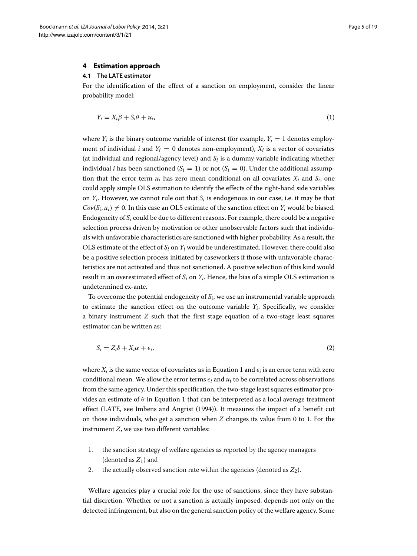## <span id="page-4-0"></span>**4 Estimation approach**

#### **4.1 The LATE estimator**

For the identification of the effect of a sanction on employment, consider the linear probability model:

<span id="page-4-1"></span>
$$
Y_i = X_i \beta + S_i \theta + u_i,\tag{1}
$$

where  $Y_i$  is the binary outcome variable of interest (for example,  $Y_i = 1$  denotes employment of individual *i* and  $Y_i = 0$  denotes non-employment),  $X_i$  is a vector of covariates (at individual and regional/agency level) and  $S_i$  is a dummy variable indicating whether individual *i* has been sanctioned  $(S_i = 1)$  or not  $(S_i = 0)$ . Under the additional assumption that the error term  $u_i$  has zero mean conditional on all covariates  $X_i$  and  $S_i$ , one could apply simple OLS estimation to identify the effects of the right-hand side variables on  $Y_i$ . However, we cannot rule out that  $S_i$  is endogenous in our case, i.e. it may be that  $Cov(S_i, u_i) \neq 0$ . In this case an OLS estimate of the sanction effect on  $Y_i$  would be biased. Endogeneity of *Si* could be due to different reasons. For example, there could be a negative selection process driven by motivation or other unobservable factors such that individuals with unfavorable characteristics are sanctioned with higher probability. As a result, the OLS estimate of the effect of  $S_i$  on  $Y_i$  would be underestimated. However, there could also be a positive selection process initiated by caseworkers if those with unfavorable characteristics are not activated and thus not sanctioned. A positive selection of this kind would result in an overestimated effect of  $S_i$  on  $Y_i$ . Hence, the bias of a simple OLS estimation is undetermined ex-ante.

To overcome the potential endogeneity of  $S_i$ , we use an instrumental variable approach to estimate the sanction effect on the outcome variable  $Y_i$ . Specifically, we consider a binary instrument *Z* such that the first stage equation of a two-stage least squares estimator can be written as:

<span id="page-4-2"></span>
$$
S_i = Z_i \delta + X_i \alpha + \epsilon_i, \tag{2}
$$

where  $X_i$  is the same vector of covariates as in Equation [1](#page-4-1) and  $\epsilon_i$  is an error term with zero conditional mean. We allow the error terms  $\epsilon_i$  and  $u_i$  to be correlated across observations from the same agency. Under this specification, the two-stage least squares estimator provides an estimate of  $\theta$  in Equation [1](#page-4-1) that can be interpreted as a local average treatment effect (LATE, see Imbens and Angrist [\(1994\)](#page-17-0)). It measures the impact of a benefit cut on those individuals, who get a sanction when *Z* changes its value from 0 to 1. For the instrument *Z*, we use two different variables:

- 1. the sanction strategy of welfare agencies as reported by the agency managers (denoted as  $Z_1$ ) and
- 2. the actually observed sanction rate within the agencies (denoted as *Z*2).

Welfare agencies play a crucial role for the use of sanctions, since they have substantial discretion. Whether or not a sanction is actually imposed, depends not only on the detected infringement, but also on the general sanction policy of the welfare agency. Some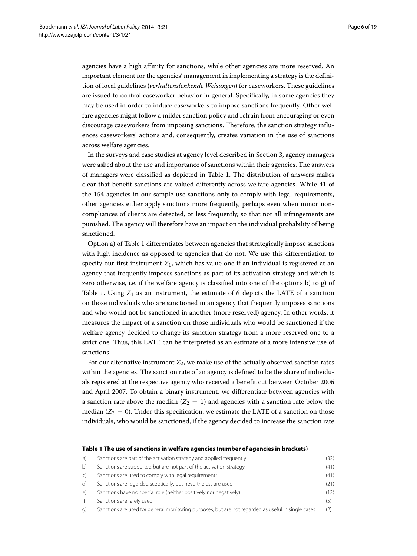agencies have a high affinity for sanctions, while other agencies are more reserved. An important element for the agencies' management in implementing a strategy is the definition of local guidelines (*verhaltenslenkende Weisungen*) for caseworkers. These guidelines are issued to control caseworker behavior in general. Specifically, in some agencies they may be used in order to induce caseworkers to impose sanctions frequently. Other welfare agencies might follow a milder sanction policy and refrain from encouraging or even discourage caseworkers from imposing sanctions. Therefore, the sanction strategy influences caseworkers' actions and, consequently, creates variation in the use of sanctions across welfare agencies.

In the surveys and case studies at agency level described in Section [3,](#page-2-0) agency managers were asked about the use and importance of sanctions within their agencies. The answers of managers were classified as depicted in Table [1.](#page-5-0) The distribution of answers makes clear that benefit sanctions are valued differently across welfare agencies. While 41 of the 154 agencies in our sample use sanctions only to comply with legal requirements, other agencies either apply sanctions more frequently, perhaps even when minor noncompliances of clients are detected, or less frequently, so that not all infringements are punished. The agency will therefore have an impact on the individual probability of being sanctioned.

Option a) of Table [1](#page-5-0) differentiates between agencies that strategically impose sanctions with high incidence as opposed to agencies that do not. We use this differentiation to specify our first instrument  $Z_1$ , which has value one if an individual is registered at an agency that frequently imposes sanctions as part of its activation strategy and which is zero otherwise, i.e. if the welfare agency is classified into one of the options b) to g) of Table [1.](#page-5-0) Using  $Z_1$  as an instrument, the estimate of  $\theta$  depicts the LATE of a sanction on those individuals who are sanctioned in an agency that frequently imposes sanctions and who would not be sanctioned in another (more reserved) agency. In other words, it measures the impact of a sanction on those individuals who would be sanctioned if the welfare agency decided to change its sanction strategy from a more reserved one to a strict one. Thus, this LATE can be interpreted as an estimate of a more intensive use of sanctions.

For our alternative instrument  $Z_2$ , we make use of the actually observed sanction rates within the agencies. The sanction rate of an agency is defined to be the share of individuals registered at the respective agency who received a benefit cut between October 2006 and April 2007. To obtain a binary instrument, we differentiate between agencies with a sanction rate above the median  $(Z_2 = 1)$  and agencies with a sanction rate below the median  $(Z_2 = 0)$ . Under this specification, we estimate the LATE of a sanction on those individuals, who would be sanctioned, if the agency decided to increase the sanction rate

## **Table 1 The use of sanctions in welfare agencies (number of agencies in brackets)**

<span id="page-5-0"></span>

| a)         | Sanctions are part of the activation strategy and applied frequently                               | (32) |
|------------|----------------------------------------------------------------------------------------------------|------|
| b)         | Sanctions are supported but are not part of the activation strategy                                | (41) |
| $\subset$  | Sanctions are used to comply with legal requirements                                               | (41) |
| d)         | Sanctions are regarded sceptically, but nevertheless are used                                      | (21) |
| $\epsilon$ | Sanctions have no special role (neither positively nor negatively)                                 | (12) |
| f)         | Sanctions are rarely used                                                                          |      |
| g)         | Sanctions are used for general monitoring purposes, but are not regarded as useful in single cases |      |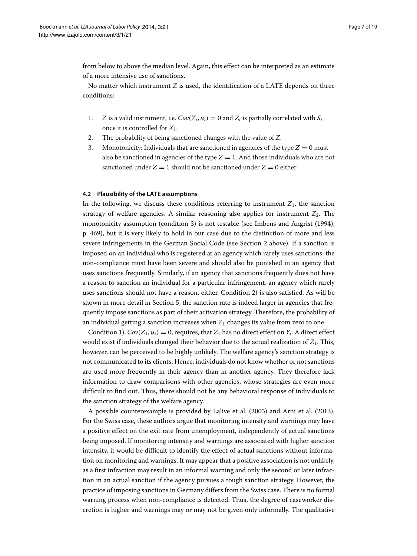from below to above the median level. Again, this effect can be interpreted as an estimate of a more intensive use of sanctions.

No matter which instrument *Z* is used, the identification of a LATE depends on three conditions:

- 1. *Z* is a valid instrument, i.e.  $Cov(Z_i, u_i) = 0$  and  $Z_i$  is partially correlated with  $S_i$ once it is controlled for *Xi*.
- 2. The probability of being sanctioned changes with the value of *Z*.
- 3. Monotonicity: Individuals that are sanctioned in agencies of the type  $Z = 0$  must also be sanctioned in agencies of the type  $Z = 1$ . And those individuals who are not sanctioned under  $Z = 1$  should not be sanctioned under  $Z = 0$  either.

#### **4.2 Plausibility of the LATE assumptions**

In the following, we discuss these conditions referring to instrument  $Z_1$ , the sanction strategy of welfare agencies. A similar reasoning also applies for instrument  $Z_2$ . The monotonicity assumption (condition 3) is not testable (see Imbens and Angrist [\(1994\)](#page-17-0), p. 469), but it is very likely to hold in our case due to the distinction of more and less severe infringements in the German Social Code (see Section [2](#page-1-0) above). If a sanction is imposed on an individual who is registered at an agency which rarely uses sanctions, the non-compliance must have been severe and should also be punished in an agency that uses sanctions frequently. Similarly, if an agency that sanctions frequently does not have a reason to sanction an individual for a particular infringement, an agency which rarely uses sanctions should not have a reason, either. Condition 2) is also satisfied. As will be shown in more detail in Section [5,](#page-9-0) the sanction rate is indeed larger in agencies that frequently impose sanctions as part of their activation strategy. Therefore, the probability of an individual getting a sanction increases when  $Z_1$  changes its value from zero to one.

Condition 1),  $Cov(Z_1, u_i) = 0$ , requires, that  $Z_1$  has no direct effect on  $Y_i$ . A direct effect would exist if individuals changed their behavior due to the actual realization of *Z*1. This, however, can be perceived to be highly unlikely. The welfare agency's sanction strategy is not communicated to its clients. Hence, individuals do not know whether or not sanctions are used more frequently in their agency than in another agency. They therefore lack information to draw comparisons with other agencies, whose strategies are even more difficult to find out. Thus, there should not be any behavioral response of individuals to the sanction strategy of the welfare agency.

A possible counterexample is provided by Lalive et al. [\(2005\)](#page-17-4) and Arni et al. [\(2013\)](#page-17-5). For the Swiss case, these authors argue that monitoring intensity and warnings may have a positive effect on the exit rate from unemployment, independently of actual sanctions being imposed. If monitoring intensity and warnings are associated with higher sanction intensity, it would be difficult to identify the effect of actual sanctions without information on monitoring and warnings. It may appear that a positive association is not unlikely, as a first infraction may result in an informal warning and only the second or later infraction in an actual sanction if the agency pursues a tough sanction strategy. However, the practice of imposing sanctions in Germany differs from the Swiss case. There is no formal warning process when non-compliance is detected. Thus, the degree of caseworker discretion is higher and warnings may or may not be given only informally. The qualitative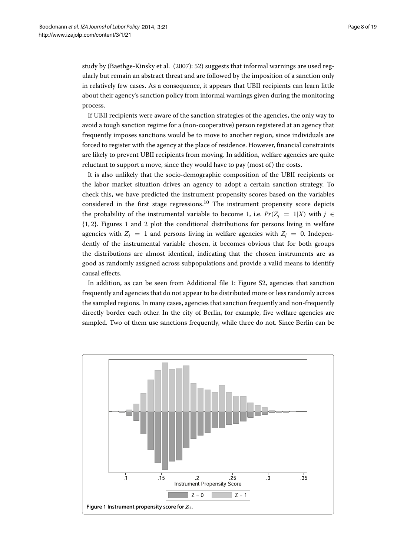study by (Baethge-Kinsky et al. [\(2007\)](#page-17-1): 52) suggests that informal warnings are used regularly but remain an abstract threat and are followed by the imposition of a sanction only in relatively few cases. As a consequence, it appears that UBII recipients can learn little about their agency's sanction policy from informal warnings given during the monitoring process.

If UBII recipients were aware of the sanction strategies of the agencies, the only way to avoid a tough sanction regime for a (non-cooperative) person registered at an agency that frequently imposes sanctions would be to move to another region, since individuals are forced to register with the agency at the place of residence. However, financial constraints are likely to prevent UBII recipients from moving. In addition, welfare agencies are quite reluctant to support a move, since they would have to pay (most of) the costs.

It is also unlikely that the socio-demographic composition of the UBII recipients or the labor market situation drives an agency to adopt a certain sanction strategy. To check this, we have predicted the instrument propensity scores based on the variables considered in the first stage regressions.<sup>10</sup> The instrument propensity score depicts the probability of the instrumental variable to become 1, i.e.  $Pr(Z_i = 1|X)$  with  $j \in$ {1, 2}. Figures [1](#page-7-0) and [2](#page-8-0) plot the conditional distributions for persons living in welfare agencies with  $Z_i = 1$  and persons living in welfare agencies with  $Z_i = 0$ . Independently of the instrumental variable chosen, it becomes obvious that for both groups the distributions are almost identical, indicating that the chosen instruments are as good as randomly assigned across subpopulations and provide a valid means to identify causal effects.

In addition, as can be seen from Additional file [1:](#page-17-2) Figure S2, agencies that sanction frequently and agencies that do not appear to be distributed more or less randomly across the sampled regions. In many cases, agencies that sanction frequently and non-frequently directly border each other. In the city of Berlin, for example, five welfare agencies are sampled. Two of them use sanctions frequently, while three do not. Since Berlin can be

<span id="page-7-0"></span>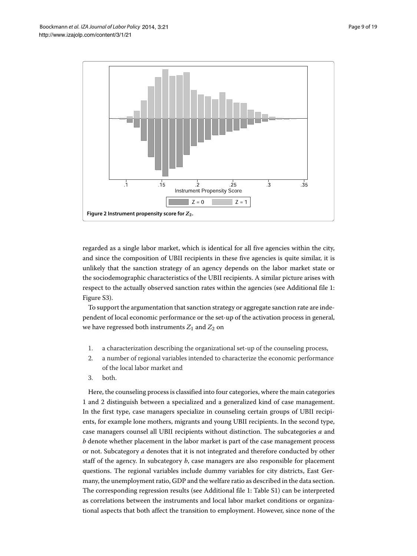

<span id="page-8-0"></span>regarded as a single labor market, which is identical for all five agencies within the city, and since the composition of UBII recipients in these five agencies is quite similar, it is unlikely that the sanction strategy of an agency depends on the labor market state or the sociodemographic characteristics of the UBII recipients. A similar picture arises with respect to the actually observed sanction rates within the agencies (see Additional file [1:](#page-17-2) Figure S3).

To support the argumentation that sanction strategy or aggregate sanction rate are independent of local economic performance or the set-up of the activation process in general, we have regressed both instruments  $Z_1$  and  $Z_2$  on

- 1. a characterization describing the organizational set-up of the counseling process,
- 2. a number of regional variables intended to characterize the economic performance of the local labor market and
- 3. both.

Here, the counseling process is classified into four categories, where the main categories 1 and 2 distinguish between a specialized and a generalized kind of case management. In the first type, case managers specialize in counseling certain groups of UBII recipients, for example lone mothers, migrants and young UBII recipients. In the second type, case managers counsel all UBII recipients without distinction. The subcategories *a* and *b* denote whether placement in the labor market is part of the case management process or not. Subcategory *a* denotes that it is not integrated and therefore conducted by other staff of the agency. In subcategory  $b$ , case managers are also responsible for placement questions. The regional variables include dummy variables for city districts, East Germany, the unemployment ratio, GDP and the welfare ratio as described in the data section. The corresponding regression results (see Additional file [1:](#page-17-2) Table S1) can be interpreted as correlations between the instruments and local labor market conditions or organizational aspects that both affect the transition to employment. However, since none of the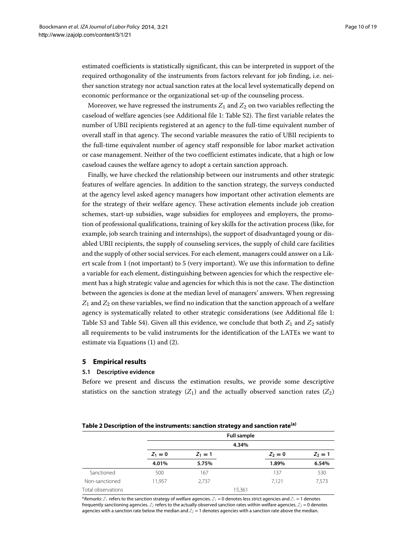estimated coefficients is statistically significant, this can be interpreted in support of the required orthogonality of the instruments from factors relevant for job finding, i.e. neither sanction strategy nor actual sanction rates at the local level systematically depend on economic performance or the organizational set-up of the counseling process.

Moreover, we have regressed the instruments  $Z_1$  and  $Z_2$  on two variables reflecting the caseload of welfare agencies (see Additional file [1:](#page-17-2) Table S2). The first variable relates the number of UBII recipients registered at an agency to the full-time equivalent number of overall staff in that agency. The second variable measures the ratio of UBII recipients to the full-time equivalent number of agency staff responsible for labor market activation or case management. Neither of the two coefficient estimates indicate, that a high or low caseload causes the welfare agency to adopt a certain sanction approach.

Finally, we have checked the relationship between our instruments and other strategic features of welfare agencies. In addition to the sanction strategy, the surveys conducted at the agency level asked agency managers how important other activation elements are for the strategy of their welfare agency. These activation elements include job creation schemes, start-up subsidies, wage subsidies for employees and employers, the promotion of professional qualifications, training of key skills for the activation process (like, for example, job search training and internships), the support of disadvantaged young or disabled UBII recipients, the supply of counseling services, the supply of child care facilities and the supply of other social services. For each element, managers could answer on a Likert scale from 1 (not important) to 5 (very important). We use this information to define a variable for each element, distinguishing between agencies for which the respective element has a high strategic value and agencies for which this is not the case. The distinction between the agencies is done at the median level of managers' answers. When regressing  $Z_1$  and  $Z_2$  on these variables, we find no indication that the sanction approach of a welfare agency is systematically related to other strategic considerations (see Additional file [1:](#page-17-2) Table S3 and Table S4). Given all this evidence, we conclude that both  $Z_1$  and  $Z_2$  satisfy all requirements to be valid instruments for the identification of the LATEs we want to estimate via Equations [\(1\)](#page-4-1) and [\(2\)](#page-4-2).

# <span id="page-9-0"></span>**5 Empirical results**

#### **5.1 Descriptive evidence**

Before we present and discuss the estimation results, we provide some descriptive statistics on the sanction strategy  $(Z_1)$  and the actually observed sanction rates  $(Z_2)$ 

<span id="page-9-1"></span>

|                    |           |           | --                 |           |           |
|--------------------|-----------|-----------|--------------------|-----------|-----------|
|                    |           |           | <b>Full sample</b> |           |           |
|                    |           |           | 4.34%              |           |           |
|                    | $Z_1 = 0$ | $Z_1 = 1$ |                    | $Z_2 = 0$ | $Z_2 = 1$ |
|                    | 4.01%     | 5.75%     |                    | 1.89%     | 6.54%     |
| Sanctioned         | 500       | 167       |                    | 137       | 530       |
| Non-sanctioned     | 11.957    | 2,737     |                    | 7,121     | 7,573     |
| Total observations |           |           | 15,361             |           |           |
|                    |           |           |                    |           |           |

 $^a$ *Remarks:*  $Z_1$  refers to the sanction strategy of welfare agencies.  $Z_1$  = 0 denotes less strict agencies and  $Z_1$  = 1 denotes frequently sanctioning agencies.  $Z_2$  refers to the actually observed sanction rates within welfare agencies.  $Z_2$  = 0 denotes agencies with a sanction rate below the median and  $Z_2 = 1$  denotes agencies with a sanction rate above the median.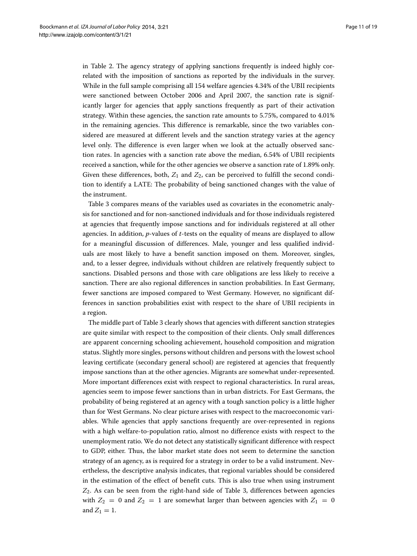in Table [2.](#page-9-1) The agency strategy of applying sanctions frequently is indeed highly correlated with the imposition of sanctions as reported by the individuals in the survey. While in the full sample comprising all 154 welfare agencies 4.34% of the UBII recipients were sanctioned between October 2006 and April 2007, the sanction rate is significantly larger for agencies that apply sanctions frequently as part of their activation strategy. Within these agencies, the sanction rate amounts to 5.75%, compared to 4.01% in the remaining agencies. This difference is remarkable, since the two variables considered are measured at different levels and the sanction strategy varies at the agency level only. The difference is even larger when we look at the actually observed sanction rates. In agencies with a sanction rate above the median, 6.54% of UBII recipients received a sanction, while for the other agencies we observe a sanction rate of 1.89% only. Given these differences, both,  $Z_1$  and  $Z_2$ , can be perceived to fulfill the second condition to identify a LATE: The probability of being sanctioned changes with the value of the instrument.

Table [3](#page-11-0) compares means of the variables used as covariates in the econometric analysis for sanctioned and for non-sanctioned individuals and for those individuals registered at agencies that frequently impose sanctions and for individuals registered at all other agencies. In addition, *p*-values of *t*-tests on the equality of means are displayed to allow for a meaningful discussion of differences. Male, younger and less qualified individuals are most likely to have a benefit sanction imposed on them. Moreover, singles, and, to a lesser degree, individuals without children are relatively frequently subject to sanctions. Disabled persons and those with care obligations are less likely to receive a sanction. There are also regional differences in sanction probabilities. In East Germany, fewer sanctions are imposed compared to West Germany. However, no significant differences in sanction probabilities exist with respect to the share of UBII recipients in a region.

The middle part of Table [3](#page-11-0) clearly shows that agencies with different sanction strategies are quite similar with respect to the composition of their clients. Only small differences are apparent concerning schooling achievement, household composition and migration status. Slightly more singles, persons without children and persons with the lowest school leaving certificate (secondary general school) are registered at agencies that frequently impose sanctions than at the other agencies. Migrants are somewhat under-represented. More important differences exist with respect to regional characteristics. In rural areas, agencies seem to impose fewer sanctions than in urban districts. For East Germans, the probability of being registered at an agency with a tough sanction policy is a little higher than for West Germans. No clear picture arises with respect to the macroeconomic variables. While agencies that apply sanctions frequently are over-represented in regions with a high welfare-to-population ratio, almost no difference exists with respect to the unemployment ratio. We do not detect any statistically significant difference with respect to GDP, either. Thus, the labor market state does not seem to determine the sanction strategy of an agency, as is required for a strategy in order to be a valid instrument. Nevertheless, the descriptive analysis indicates, that regional variables should be considered in the estimation of the effect of benefit cuts. This is also true when using instrument *Z*2. As can be seen from the right-hand side of Table [3,](#page-11-0) differences between agencies with  $Z_2 = 0$  and  $Z_2 = 1$  are somewhat larger than between agencies with  $Z_1 = 0$ and  $Z_1 = 1$ .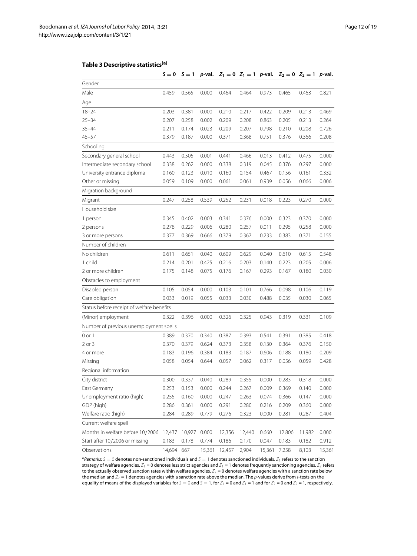# **Table 3 Descriptive statistics(a)**

<span id="page-11-0"></span>

|                                           | $S = 0$ | $S = 1$ | p-val. |        |        |        | $Z_1 = 0$ $Z_1 = 1$ p-val. $Z_2 = 0$ $Z_2 = 1$ p-val. |        |        |
|-------------------------------------------|---------|---------|--------|--------|--------|--------|-------------------------------------------------------|--------|--------|
| Gender                                    |         |         |        |        |        |        |                                                       |        |        |
| Male                                      | 0.459   | 0.565   | 0.000  | 0.464  | 0.464  | 0.973  | 0.465                                                 | 0.463  | 0.821  |
| Age                                       |         |         |        |        |        |        |                                                       |        |        |
| $18 - 24$                                 | 0.203   | 0.381   | 0.000  | 0.210  | 0.217  | 0.422  | 0.209                                                 | 0.213  | 0.469  |
| $25 - 34$                                 | 0.207   | 0.258   | 0.002  | 0.209  | 0.208  | 0.863  | 0.205                                                 | 0.213  | 0.264  |
| $35 - 44$                                 | 0.211   | 0.174   | 0.023  | 0.209  | 0.207  | 0.798  | 0.210                                                 | 0.208  | 0.726  |
| $45 - 57$                                 | 0.379   | 0.187   | 0.000  | 0.371  | 0.368  | 0.751  | 0.376                                                 | 0.366  | 0.208  |
| Schooling                                 |         |         |        |        |        |        |                                                       |        |        |
| Secondary general school                  | 0.443   | 0.505   | 0.001  | 0.441  | 0.466  | 0.013  | 0.412                                                 | 0.475  | 0.000  |
| Intermediate secondary school             | 0.338   | 0.262   | 0.000  | 0.338  | 0.319  | 0.045  | 0.376                                                 | 0.297  | 0.000  |
| University entrance diploma               | 0.160   | 0.123   | 0.010  | 0.160  | 0.154  | 0.467  | 0.156                                                 | 0.161  | 0.332  |
| Other or missing                          | 0.059   | 0.109   | 0.000  | 0.061  | 0.061  | 0.939  | 0.056                                                 | 0.066  | 0.006  |
| Migration background                      |         |         |        |        |        |        |                                                       |        |        |
| Migrant                                   | 0.247   | 0.258   | 0.539  | 0.252  | 0.231  | 0.018  | 0.223                                                 | 0.270  | 0.000  |
| Household size                            |         |         |        |        |        |        |                                                       |        |        |
| 1 person                                  | 0.345   | 0.402   | 0.003  | 0.341  | 0.376  | 0.000  | 0.323                                                 | 0.370  | 0.000  |
| 2 persons                                 | 0.278   | 0.229   | 0.006  | 0.280  | 0.257  | 0.011  | 0.295                                                 | 0.258  | 0.000  |
| 3 or more persons                         | 0.377   | 0.369   | 0.666  | 0.379  | 0.367  | 0.233  | 0.383                                                 | 0.371  | 0.155  |
| Number of children                        |         |         |        |        |        |        |                                                       |        |        |
| No children                               | 0.611   | 0.651   | 0.040  | 0.609  | 0.629  | 0.040  | 0.610                                                 | 0.615  | 0.548  |
| 1 child                                   | 0.214   | 0.201   | 0.425  | 0.216  | 0.203  | 0.140  | 0.223                                                 | 0.205  | 0.006  |
| 2 or more children                        | 0.175   | 0.148   | 0.075  | 0.176  | 0.167  | 0.293  | 0.167                                                 | 0.180  | 0.030  |
| Obstacles to employment                   |         |         |        |        |        |        |                                                       |        |        |
| Disabled person                           | 0.105   | 0.054   | 0.000  | 0.103  | 0.101  | 0.766  | 0.098                                                 | 0.106  | 0.119  |
| Care obligation                           | 0.033   | 0.019   | 0.055  | 0.033  | 0.030  | 0.488  | 0.035                                                 | 0.030  | 0.065  |
| Status before receipt of welfare benefits |         |         |        |        |        |        |                                                       |        |        |
| (Minor) employment                        | 0.322   | 0.396   | 0.000  | 0.326  | 0.325  | 0.943  | 0.319                                                 | 0.331  | 0.109  |
| Number of previous unemployment spells    |         |         |        |        |        |        |                                                       |        |        |
| 0 or 1                                    | 0.389   | 0.370   | 0.340  | 0.387  | 0.393  | 0.541  | 0.391                                                 | 0.385  | 0.418  |
| $2$ or $3$                                | 0.370   | 0.379   | 0.624  | 0.373  | 0.358  | 0.130  | 0.364                                                 | 0.376  | 0.150  |
| 4 or more                                 | 0.183   | 0.196   | 0.384  | 0.183  | 0.187  | 0.606  | 0.188                                                 | 0.180  | 0.209  |
| Missing                                   | 0.058   | 0.054   | 0.644  | 0.057  | 0.062  | 0.317  | 0.056                                                 | 0.059  | 0.428  |
| Regional information                      |         |         |        |        |        |        |                                                       |        |        |
| City district                             | 0.300   | 0.337   | 0.040  | 0.289  | 0.355  | 0.000  | 0.283                                                 | 0.318  | 0.000  |
| East Germany                              | 0.253   | 0.153   | 0.000  | 0.244  | 0.267  | 0.009  | 0.369                                                 | 0.140  | 0.000  |
| Unemployment ratio (high)                 | 0.255   | 0.160   | 0.000  | 0.247  | 0.263  | 0.074  | 0.366                                                 | 0.147  | 0.000  |
| GDP (high)                                | 0.286   | 0.361   | 0.000  | 0.291  | 0.280  | 0.216  | 0.209                                                 | 0.360  | 0.000  |
| Welfare ratio (high)                      | 0.284   | 0.289   | 0.779  | 0.276  | 0.323  | 0.000  | 0.281                                                 | 0.287  | 0.404  |
| Current welfare spell                     |         |         |        |        |        |        |                                                       |        |        |
| Months in welfare before 10/2006          | 12,437  | 10,927  | 0.000  | 12,356 | 12,440 | 0.660  | 12.806                                                | 11.982 | 0.000  |
| Start after 10/2006 or missing            | 0.183   | 0.178   | 0.774  | 0.186  | 0.170  | 0.047  | 0.183                                                 | 0.182  | 0.912  |
| Observations                              | 14,694  | 667     | 15,361 | 12,457 | 2,904  | 15,361 | 7,258                                                 | 8,103  | 15,361 |

<sup>a</sup> Remarks: S = 0 denotes non-sanctioned individuals and S = 1 denotes sanctioned individuals.  $Z_1$  refers to the sanction strategy of welfare agencies.  $Z_1 = 0$  denotes less strict agencies and  $Z_1 = 1$  denotes frequently sanctioning agencies.  $Z_2$  refers to the actually observed sanction rates within welfare agencies.  $\mathcal{Z}_2$  = 0 denotes welfare agencies with a sanction rate below the median and  $\mathbb{Z}_2$  = 1 denotes agencies with a sanction rate above the median. The  $p$ -values derive from  $t$ -tests on the equality of means of the displayed variables for  $S = 0$  and  $S = 1$ , for  $Z_1 = 0$  and  $Z_1 = 1$  and for  $Z_2 = 0$  and  $Z_2 = 1$ , respectively.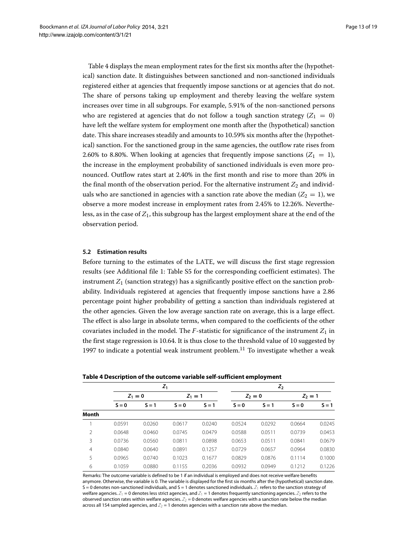Table [4](#page-12-0) displays the mean employment rates for the first six months after the (hypothetical) sanction date. It distinguishes between sanctioned and non-sanctioned individuals registered either at agencies that frequently impose sanctions or at agencies that do not. The share of persons taking up employment and thereby leaving the welfare system increases over time in all subgroups. For example, 5.91% of the non-sanctioned persons who are registered at agencies that do not follow a tough sanction strategy  $(Z_1 = 0)$ have left the welfare system for employment one month after the (hypothetical) sanction date. This share increases steadily and amounts to 10.59% six months after the (hypothetical) sanction. For the sanctioned group in the same agencies, the outflow rate rises from 2.60% to 8.80%. When looking at agencies that frequently impose sanctions  $(Z_1 = 1)$ , the increase in the employment probability of sanctioned individuals is even more pronounced. Outflow rates start at 2.40% in the first month and rise to more than 20% in the final month of the observation period. For the alternative instrument  $Z_2$  and individuals who are sanctioned in agencies with a sanction rate above the median  $(Z_2 = 1)$ , we observe a more modest increase in employment rates from 2.45% to 12.26%. Nevertheless, as in the case of *Z*1, this subgroup has the largest employment share at the end of the observation period.

# **5.2 Estimation results**

Before turning to the estimates of the LATE, we will discuss the first stage regression results (see Additional file [1:](#page-17-2) Table S5 for the corresponding coefficient estimates). The instrument  $Z_1$  (sanction strategy) has a significantly positive effect on the sanction probability. Individuals registered at agencies that frequently impose sanctions have a 2.86 percentage point higher probability of getting a sanction than individuals registered at the other agencies. Given the low average sanction rate on average, this is a large effect. The effect is also large in absolute terms, when compared to the coefficients of the other covariates included in the model. The  $F$ -statistic for significance of the instrument  $Z_1$  in the first stage regression is 10.64. It is thus close to the threshold value of 10 suggested by [1997](#page-17-6) to indicate a potential weak instrument problem.<sup>11</sup> To investigate whether a weak

<span id="page-12-0"></span>

|                |           |         | $Z_1$     | $Z_2$   |           |         |           |         |
|----------------|-----------|---------|-----------|---------|-----------|---------|-----------|---------|
|                | $Z_1 = 0$ |         | $Z_1 = 1$ |         | $Z_2 = 0$ |         | $Z_2 = 1$ |         |
|                | $S = 0$   | $S = 1$ | $S = 0$   | $S = 1$ | $S = 0$   | $S = 1$ | $S = 0$   | $S = 1$ |
| Month          |           |         |           |         |           |         |           |         |
|                | 0.0591    | 0.0260  | 0.0617    | 0.0240  | 0.0524    | 0.0292  | 0.0664    | 0.0245  |
| $\mathfrak{D}$ | 0.0648    | 0.0460  | 0.0745    | 0.0479  | 0.0588    | 0.0511  | 0.0739    | 0.0453  |
| 3              | 0.0736    | 0.0560  | 0.0811    | 0.0898  | 0.0653    | 0.0511  | 0.0841    | 0.0679  |
| 4              | 0.0840    | 0.0640  | 0.0891    | 0.1257  | 0.0729    | 0.0657  | 0.0964    | 0.0830  |
| 5              | 0.0965    | 0.0740  | 0.1023    | 0.1677  | 0.0829    | 0.0876  | 0.1114    | 0.1000  |
| 6              | 0.1059    | 0.0880  | 0.1155    | 0.2036  | 0.0932    | 0.0949  | 0.1212    | 0.1226  |

**Table 4 Description of the outcome variable self-sufficient employment**

Remarks: The outcome variable is defined to be 1 if an individual is employed and does not receive welfare benefits anymore. Otherwise, the variable is 0. The variable is displayed for the first six months after the (hypothetical) sanction date.  $S = 0$  denotes non-sanctioned individuals, and  $S = 1$  denotes sanctioned individuals.  $Z_1$  refers to the sanction strategy of welfare agencies.  $Z_1 = 0$  denotes less strict agencies, and  $Z_1 = 1$  denotes frequently sanctioning agencies.  $Z_2$  refers to the observed sanction rates within welfare agencies.  $Z_2 = 0$  denotes welfare agencies with a sanction rate below the median across all 154 sampled agencies, and  $Z_2 = 1$  denotes agencies with a sanction rate above the median.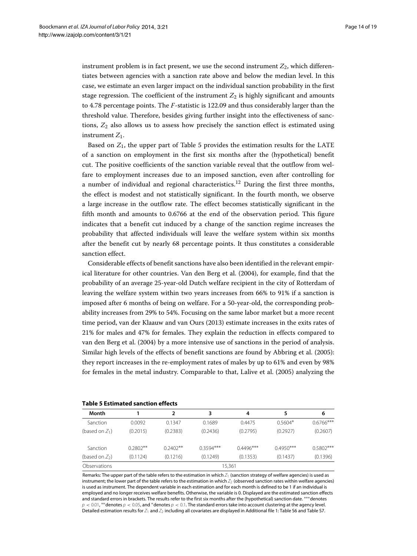instrument problem is in fact present, we use the second instrument  $Z_2$ , which differentiates between agencies with a sanction rate above and below the median level. In this case, we estimate an even larger impact on the individual sanction probability in the first stage regression. The coefficient of the instrument  $Z_2$  is highly significant and amounts to 4.78 percentage points. The *F*-statistic is 122.09 and thus considerably larger than the threshold value. Therefore, besides giving further insight into the effectiveness of sanctions, *Z*<sup>2</sup> also allows us to assess how precisely the sanction effect is estimated using instrument *Z*1.

Based on  $Z_1$ , the upper part of Table [5](#page-13-0) provides the estimation results for the LATE of a sanction on employment in the first six months after the (hypothetical) benefit cut. The positive coefficients of the sanction variable reveal that the outflow from welfare to employment increases due to an imposed sanction, even after controlling for a number of individual and regional characteristics.<sup>12</sup> During the first three months, the effect is modest and not statistically significant. In the fourth month, we observe a large increase in the outflow rate. The effect becomes statistically significant in the fifth month and amounts to 0.6766 at the end of the observation period. This figure indicates that a benefit cut induced by a change of the sanction regime increases the probability that affected individuals will leave the welfare system within six months after the benefit cut by nearly 68 percentage points. It thus constitutes a considerable sanction effect.

Considerable effects of benefit sanctions have also been identified in the relevant empirical literature for other countries. Van den Berg et al. [\(2004\)](#page-18-1), for example, find that the probability of an average 25-year-old Dutch welfare recipient in the city of Rotterdam of leaving the welfare system within two years increases from 66% to 91% if a sanction is imposed after 6 months of being on welfare. For a 50-year-old, the corresponding probability increases from 29% to 54%. Focusing on the same labor market but a more recent time period, van der Klaauw and van Ours [\(2013\)](#page-18-2) estimate increases in the exits rates of 21% for males and 47% for females. They explain the reduction in effects compared to van den Berg et al. [\(2004\)](#page-18-1) by a more intensive use of sanctions in the period of analysis. Similar high levels of the effects of benefit sanctions are found by Abbring et al. [\(2005\)](#page-17-7): they report increases in the re-employment rates of males by up to 61% and even by 98% for females in the metal industry. Comparable to that, Lalive et al. [\(2005\)](#page-17-4) analyzing the

| TADIE J ESUMALEU SANCUON ENECLS |            |            |             |             |             |             |  |  |  |  |
|---------------------------------|------------|------------|-------------|-------------|-------------|-------------|--|--|--|--|
| Month                           |            |            | 3           | 4           | 5           | 6           |  |  |  |  |
| Sanction                        | 0.0092     | 0.1347     | 0.1689      | 0.4475      | $0.5604*$   | $0.6766***$ |  |  |  |  |
| (based on $Z_1$ )               | (0.2015)   | (0.2383)   | (0.2436)    | (0.2795)    | (0.2927)    | (0.2607)    |  |  |  |  |
| Sanction                        | $0.2802**$ | $0.2402**$ | $0.3594***$ | $0.4496***$ | $0.4950***$ | $0.5802***$ |  |  |  |  |
| (based on $Z_2$ )               | (0.1124)   | (0.1216)   | (0.1249)    | (0.1353)    | (0.1437)    | (0.1396)    |  |  |  |  |
| Observations                    |            |            |             | 15,361      |             |             |  |  |  |  |

# <span id="page-13-0"></span>**Table 5 Estimated sanction effects**

Remarks: The upper part of the table refers to the estimation in which  $Z_1$  (sanction strategy of welfare agencies) is used as instrument; the lower part of the table refers to the estimation in which  $Z_2$  (observed sanction rates within welfare agencies) is used as instrument. The dependent variable in each estimation and for each month is defined to be 1 if an individual is employed and no longer receives welfare benefits. Otherwise, the variable is 0. Displayed are the estimated sanction effects and standard errors in brackets. The results refer to the first six months after the (hypothetical) sanction date. <sup>∗∗∗</sup>denotes  $p < 0.01$ , \*\* denotes  $p < 0.05$ , and \* denotes  $p < 0.1$ . The standard errors take into account clustering at the agency level. Detailed estimation results for  $Z_1$  and  $Z_2$  including all covariates are displayed in Additional file [1:](#page-17-2) Table S6 and Table S7.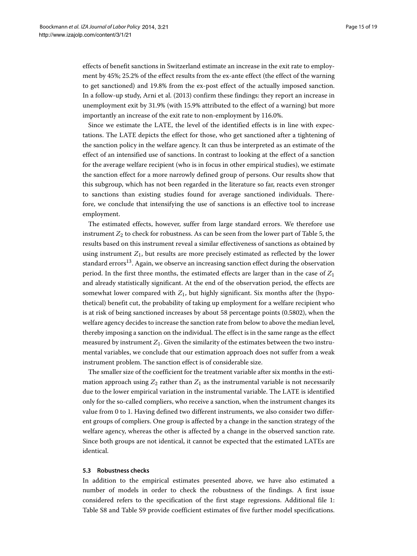effects of benefit sanctions in Switzerland estimate an increase in the exit rate to employment by 45%; 25.2% of the effect results from the ex-ante effect (the effect of the warning to get sanctioned) and 19.8% from the ex-post effect of the actually imposed sanction. In a follow-up study, Arni et al. [\(2013\)](#page-17-5) confirm these findings: they report an increase in unemployment exit by 31.9% (with 15.9% attributed to the effect of a warning) but more importantly an increase of the exit rate to non-employment by 116.0%.

Since we estimate the LATE, the level of the identified effects is in line with expectations. The LATE depicts the effect for those, who get sanctioned after a tightening of the sanction policy in the welfare agency. It can thus be interpreted as an estimate of the effect of an intensified use of sanctions. In contrast to looking at the effect of a sanction for the average welfare recipient (who is in focus in other empirical studies), we estimate the sanction effect for a more narrowly defined group of persons. Our results show that this subgroup, which has not been regarded in the literature so far, reacts even stronger to sanctions than existing studies found for average sanctioned individuals. Therefore, we conclude that intensifying the use of sanctions is an effective tool to increase employment.

The estimated effects, however, suffer from large standard errors. We therefore use instrument  $Z_2$  to check for robustness. As can be seen from the lower part of Table [5,](#page-13-0) the results based on this instrument reveal a similar effectiveness of sanctions as obtained by using instrument  $Z_1$ , but results are more precisely estimated as reflected by the lower standard errors<sup>13</sup>. Again, we observe an increasing sanction effect during the observation period. In the first three months, the estimated effects are larger than in the case of *Z*<sup>1</sup> and already statistically significant. At the end of the observation period, the effects are somewhat lower compared with  $Z_1$ , but highly significant. Six months after the (hypothetical) benefit cut, the probability of taking up employment for a welfare recipient who is at risk of being sanctioned increases by about 58 percentage points (0.5802), when the welfare agency decides to increase the sanction rate from below to above the median level, thereby imposing a sanction on the individual. The effect is in the same range as the effect measured by instrument *Z*1. Given the similarity of the estimates between the two instrumental variables, we conclude that our estimation approach does not suffer from a weak instrument problem. The sanction effect is of considerable size.

The smaller size of the coefficient for the treatment variable after six months in the estimation approach using  $Z_2$  rather than  $Z_1$  as the instrumental variable is not necessarily due to the lower empirical variation in the instrumental variable. The LATE is identified only for the so-called compliers, who receive a sanction, when the instrument changes its value from 0 to 1. Having defined two different instruments, we also consider two different groups of compliers. One group is affected by a change in the sanction strategy of the welfare agency, whereas the other is affected by a change in the observed sanction rate. Since both groups are not identical, it cannot be expected that the estimated LATEs are identical.

#### **5.3 Robustness checks**

In addition to the empirical estimates presented above, we have also estimated a number of models in order to check the robustness of the findings. A first issue considered refers to the specification of the first stage regressions. Additional file [1:](#page-17-2) Table S8 and Table S9 provide coefficient estimates of five further model specifications.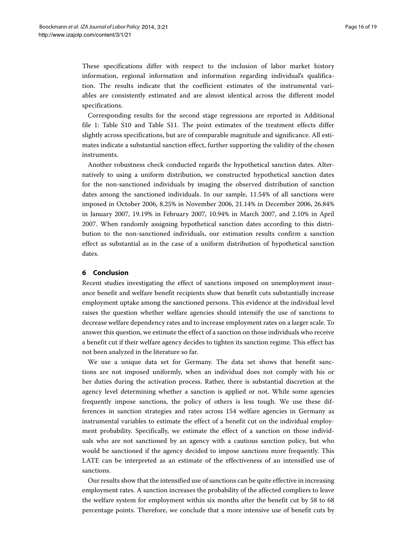These specifications differ with respect to the inclusion of labor market history information, regional information and information regarding individual's qualification. The results indicate that the coefficient estimates of the instrumental variables are consistently estimated and are almost identical across the different model specifications.

Corresponding results for the second stage regressions are reported in Additional file [1:](#page-17-2) Table S10 and Table S11. The point estimates of the treatment effects differ slightly across specifications, but are of comparable magnitude and significance. All estimates indicate a substantial sanction effect, further supporting the validity of the chosen instruments.

Another robustness check conducted regards the hypothetical sanction dates. Alternatively to using a uniform distribution, we constructed hypothetical sanction dates for the non-sanctioned individuals by imaging the observed distribution of sanction dates among the sanctioned individuals. In our sample, 11.54% of all sanctions were imposed in October 2006, 8.25% in November 2006, 21.14% in December 2006, 26.84% in January 2007, 19.19% in February 2007, 10.94% in March 2007, and 2.10% in April 2007. When randomly assigning hypothetical sanction dates according to this distribution to the non-sanctioned individuals, our estimation results confirm a sanction effect as substantial as in the case of a uniform distribution of hypothetical sanction dates.

# **6 Conclusion**

Recent studies investigating the effect of sanctions imposed on unemployment insurance benefit and welfare benefit recipients show that benefit cuts substantially increase employment uptake among the sanctioned persons. This evidence at the individual level raises the question whether welfare agencies should intensify the use of sanctions to decrease welfare dependency rates and to increase employment rates on a larger scale. To answer this question, we estimate the effect of a sanction on those individuals who receive a benefit cut if their welfare agency decides to tighten its sanction regime. This effect has not been analyzed in the literature so far.

We use a unique data set for Germany. The data set shows that benefit sanctions are not imposed uniformly, when an individual does not comply with his or her duties during the activation process. Rather, there is substantial discretion at the agency level determining whether a sanction is applied or not. While some agencies frequently impose sanctions, the policy of others is less tough. We use these differences in sanction strategies and rates across 154 welfare agencies in Germany as instrumental variables to estimate the effect of a benefit cut on the individual employment probability. Specifically, we estimate the effect of a sanction on those individuals who are not sanctioned by an agency with a cautious sanction policy, but who would be sanctioned if the agency decided to impose sanctions more frequently. This LATE can be interpreted as an estimate of the effectiveness of an intensified use of sanctions.

Our results show that the intensified use of sanctions can be quite effective in increasing employment rates. A sanction increases the probability of the affected compliers to leave the welfare system for employment within six months after the benefit cut by 58 to 68 percentage points. Therefore, we conclude that a more intensive use of benefit cuts by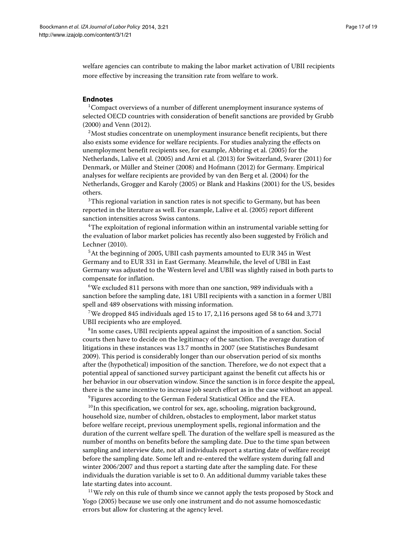welfare agencies can contribute to making the labor market activation of UBII recipients more effective by increasing the transition rate from welfare to work.

# **Endnotes**

<sup>1</sup> Compact overviews of a number of different unemployment insurance systems of selected OECD countries with consideration of benefit sanctions are provided by Grubb [\(2000\)](#page-17-8) and Venn [\(2012\)](#page-18-0).

<sup>2</sup>Most studies concentrate on unemployment insurance benefit recipients, but there also exists some evidence for welfare recipients. For studies analyzing the effects on unemployment benefit recipients see, for example, Abbring et al. [\(2005\)](#page-17-7) for the Netherlands, Lalive et al. [\(2005\)](#page-17-4) and Arni et al. [\(2013\)](#page-17-5) for Switzerland, Svarer [\(2011\)](#page-18-3) for Denmark, or Müller and Steiner [\(2008\)](#page-17-9) and Hofmann [\(2012\)](#page-17-10) for Germany. Empirical analyses for welfare recipients are provided by van den Berg et al. [\(2004\)](#page-18-1) for the Netherlands, Grogger and Karoly [\(2005\)](#page-17-11) or Blank and Haskins [\(2001\)](#page-17-12) for the US, besides others.

<sup>3</sup>This regional variation in sanction rates is not specific to Germany, but has been reported in the literature as well. For example, Lalive et al. [\(2005\)](#page-17-4) report different sanction intensities across Swiss cantons.

4The exploitation of regional information within an instrumental variable setting for the evaluation of labor market policies has recently also been suggested by Frölich and Lechner [\(2010\)](#page-17-13).

<sup>5</sup>At the beginning of 2005, UBII cash payments amounted to EUR 345 in West Germany and to EUR 331 in East Germany. Meanwhile, the level of UBII in East Germany was adjusted to the Western level and UBII was slightly raised in both parts to compensate for inflation.

<sup>6</sup>We excluded 811 persons with more than one sanction, 989 individuals with a sanction before the sampling date, 181 UBII recipients with a sanction in a former UBII spell and 489 observations with missing information.

7We dropped 845 individuals aged 15 to 17, 2,116 persons aged 58 to 64 and 3,771 UBII recipients who are employed.

<sup>8</sup>In some cases, UBII recipients appeal against the imposition of a sanction. Social courts then have to decide on the legitimacy of the sanction. The average duration of litigations in these instances was 13.7 months in 2007 (see Statistisches Bundesamt [2009\)](#page-18-4). This period is considerably longer than our observation period of six months after the (hypothetical) imposition of the sanction. Therefore, we do not expect that a potential appeal of sanctioned survey participant against the benefit cut affects his or her behavior in our observation window. Since the sanction is in force despite the appeal, there is the same incentive to increase job search effort as in the case without an appeal.

<sup>9</sup> Figures according to the German Federal Statistical Office and the FEA.

<sup>10</sup>In this specification, we control for sex, age, schooling, migration background, household size, number of children, obstacles to employment, labor market status before welfare receipt, previous unemployment spells, regional information and the duration of the current welfare spell. The duration of the welfare spell is measured as the number of months on benefits before the sampling date. Due to the time span between sampling and interview date, not all individuals report a starting date of welfare receipt before the sampling date. Some left and re-entered the welfare system during fall and winter 2006/2007 and thus report a starting date after the sampling date. For these individuals the duration variable is set to 0. An additional dummy variable takes these late starting dates into account.

<sup>11</sup>We rely on this rule of thumb since we cannot apply the tests proposed by Stock and Yogo [\(2005\)](#page-18-5) because we use only one instrument and do not assume homoscedastic errors but allow for clustering at the agency level.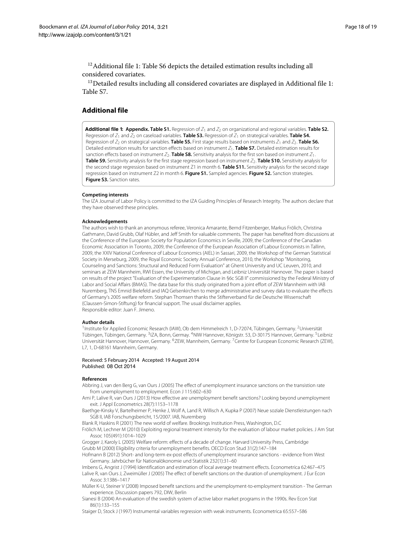$12$ Additional file [1:](#page-17-2) Table S6 depicts the detailed estimation results including all considered covariates.

 $13$  Detailed results including all considered covariates are displayed in Additional file [1:](#page-17-2) Table S7.

# **Additional file**

<span id="page-17-2"></span>**[Additional file 1](http://www.izajolp.com/content/supplementary/2193-9004-3-21-S1.PDF): Appendix. Table S1.** Regression of  $Z_1$  and  $Z_2$  on organizational and regional variables. Table S2. Regression of Z<sup>1</sup> and Z<sup>2</sup> on caseload variables. **Table S3.** Regression of Z<sup>1</sup> on strategical variables. **Table S4.** Regression of  $Z_2$  on strategical variables. **Table S5.** First stage results based on instruments  $Z_1$  and  $Z_2$ . **Table S6.** Detailed estimation results for sanction effects based on instrument Z<sub>1</sub>. **Table S7.** Detailed estimation results for sanction effects based on instrument  $Z_2$ . **Table S8.** Sensitivity analysis for the first son based on instrument  $Z_1$ . **Table S9.** Sensitivity analysis for the first stage regression based on instrument  $Z_2$ . **Table S10.** Sensitivity analysis for the second stage regression based on instrument Z1 in month 6. **Table S11.** Sensitivity analysis for the second stage regression based on instrument Z2 in month 6. **Figure S1.** Sampled agencies. **Figure S2.** Sanction strategies. **Figure S3.** Sanction rates.

#### **Competing interests**

The IZA Journal of Labor Policy is committed to the IZA Guiding Principles of Research Integrity. The authors declare that they have observed these principles.

#### **Acknowledgements**

The authors wish to thank an anonymous referee, Veronica Amarante, Bernd Fitzenberger, Markus Frölich, Christina Gathmann, David Grubb, Olaf Hübler, and Jeff Smith for valuable comments. The paper has benefited from discussions at the Conference of the European Society for Population Economics in Seville, 2009, the Conference of the Canadian Economic Association in Toronto, 2009, the Conference of the European Association of Labour Economists in Tallinn, 2009, the XXIV National Conference of Labour Economics (AIEL) in Sassari, 2009, the Workshop of the German Statistical Society in Merseburg, 2009, the Royal Economic Society Annual Conference, 2010, the Workshop "Monitoring, Counseling and Sanctions: Structural and Reduced Form Evaluation" at Ghent University and UC Leuven, 2010, and seminars at ZEW Mannheim, RWI Essen, the University of Michigan, and Leibniz Universität Hannover. The paper is based on results of the project "Evaluation of the Experimentation Clause in §6c SGB II" commissioned by the Federal Ministry of Labor and Social Affairs (BMAS). The data base for this study originated from a joint effort of ZEW Mannheim with IAB Nuremberg, TNS Emnid Bielefeld and IAQ Gelsenkirchen to merge administrative and survey data to evaluate the effects of Germany's 2005 welfare reform. Stephan Thomsen thanks the Stifterverband für die Deutsche Wissenschaft (Claussen-Simon-Stiftung) for financial support. The usual disclaimer applies. Responsible editor: Juan F. Jimeno.

#### **Author details**

1Institute for Applied Economic Research (IAW), Ob dem Himmelreich 1, D-72074, Tübingen, Germany. 2Universität Tübingen, Tübingen, Germany. <sup>3</sup>IZA, Bonn, Germay. <sup>4</sup>NIW Hannover, Königstr. 53, D-30175 Hannover, Germany. <sup>5</sup>Leibniz Universität Hannover, Hannover, Germany. 6ZEW, Mannheim, Germany. 7Centre for European Economic Research (ZEW), L7, 1, D-68161 Mannheim, Germany.

#### Received: 5 February 2014 Accepted: 19 August 2014 Published: 08 Oct 2014

#### **References**

<span id="page-17-7"></span>Abbring J, van den Berg G, van Ours J (2005) The effect of unemployment insurance sanctions on the transistion rate from unemployment to employment. Econ J 115:602–630

<span id="page-17-5"></span>Arni P, Lalive R, van Ours J (2013) How effective are unemployment benefit sanctions? Looking beyond unemployment exit. J Appl Econometrics 28(7):1153–1178

<span id="page-17-1"></span>Baethge-Kinsky V, Bartelheimer P, Henke J, Wolf A, Land R, Willisch A, Kupka P (2007) Neue soziale Dienstleistungen nach SGB II, IAB Forschungsbericht, 15/2007. IAB, Nuremberg

<span id="page-17-12"></span>Blank R, Haskins R (2001) The new world of welfare. Brookings Institution Press, Washington, D.C

<span id="page-17-13"></span>Frölich M, Lechner M (2010) Exploiting regional treatment intensity for the evaluation of labour market policies. J Am Stat Assoc 105(491):1014–1029

<span id="page-17-11"></span>Grogger J, Karoly L (2005) Welfare reform: effects of a decade of change. Harvard University Press, Cambridge Grubb M (2000) Eligibility criteria for unemployment benefits. OECD Econ Stud 31(2):147–184

<span id="page-17-10"></span><span id="page-17-8"></span>Hofmann B (2012) Short- and long-term ex-post effects of unemployment insurance sanctions - evidence from West Germany. Jahrbücher für Nationalökonomie und Statistik 232(1):31–60

<span id="page-17-4"></span><span id="page-17-0"></span>Imbens G, Angrist J (1994) Identification and estimation of local average treatment effects. Econometrica 62:467–475 Lalive R, van Ours J, Zweimüller J (2005) The effect of benefit sanctions on the duration of unemployment. J Eur Econ Assoc 3:1386–1417

<span id="page-17-9"></span>Müller K-U, Steiner V (2008) Imposed benefit sanctions and the unemployment-to-employment transition - The German experience. Discussion papers 792, DIW, Berlin

<span id="page-17-3"></span>Sianesi B (2004) An evaluation of the swedish system of active labor market programs in the 1990s. Rev Econ Stat 86(1):133–155

<span id="page-17-6"></span>Staiger D, Stock J (1997) Instrumental variables regression with weak instruments. Econometrica 65:557–586